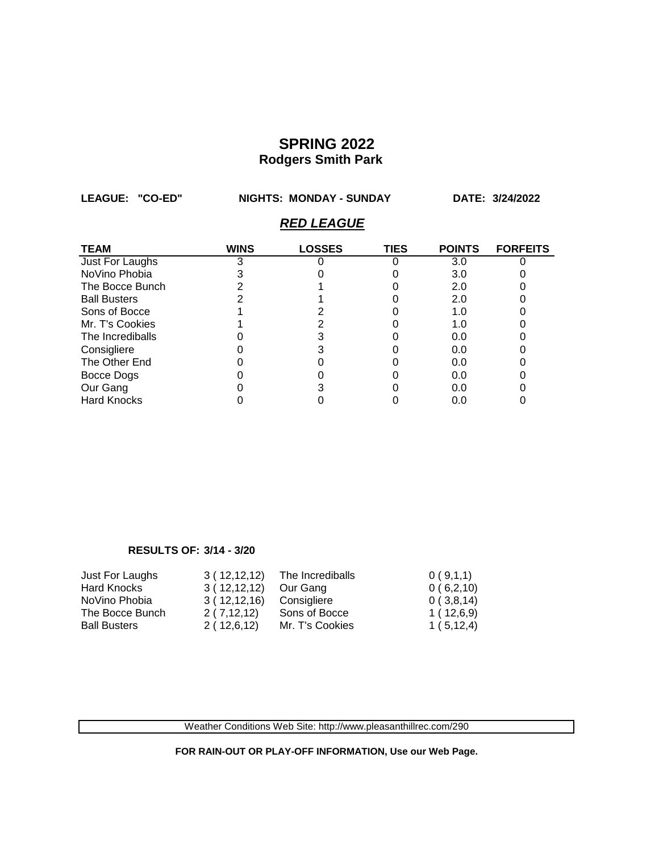**LEAGUE: "CO-ED" NIGHTS: MONDAY - SUNDAY DATE: 3/24/2022**

### *RED LEAGUE*

| <b>TEAM</b>         | WINS | <b>LOSSES</b> | <b>TIES</b> | <b>POINTS</b> | <b>FORFEITS</b> |
|---------------------|------|---------------|-------------|---------------|-----------------|
| Just For Laughs     |      |               |             | 3.0           |                 |
| NoVino Phobia       |      |               |             | 3.0           |                 |
| The Bocce Bunch     |      |               |             | 2.0           |                 |
| <b>Ball Busters</b> |      |               |             | 2.0           |                 |
| Sons of Bocce       |      |               |             | 1.0           |                 |
| Mr. T's Cookies     |      |               |             | 1.0           |                 |
| The Incrediballs    |      |               |             | 0.0           |                 |
| Consigliere         |      |               |             | 0.0           |                 |
| The Other End       |      |               |             | 0.0           |                 |
| Bocce Dogs          |      |               |             | 0.0           |                 |
| Our Gang            |      |               |             | 0.0           |                 |
| <b>Hard Knocks</b>  |      |               |             | 0.0           |                 |

#### **RESULTS OF: 3/14 - 3/20**

| Just For Laughs     | 3(12,12,12) | The Incrediballs | 0(9,1,1)    |
|---------------------|-------------|------------------|-------------|
| <b>Hard Knocks</b>  | 3(12,12,12) | Our Gang         | 0(6,2,10)   |
| NoVino Phobia       | 3(12,12,16) | Consigliere      | 0(3,8,14)   |
| The Bocce Bunch     | 2(7,12,12)  | Sons of Bocce    | 1(12,6,9)   |
| <b>Ball Busters</b> | 2(12,6,12)  | Mr. T's Cookies  | 1(5, 12, 4) |

Weather Conditions Web Site: http://www.pleasanthillrec.com/290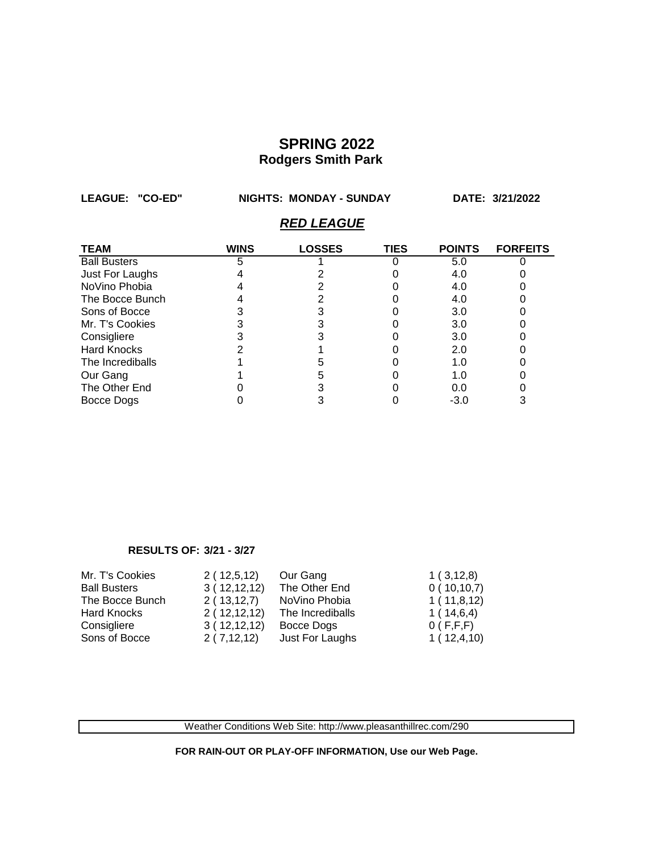**LEAGUE: "CO-ED" NIGHTS: MONDAY - SUNDAY DATE: 3/21/2022**

### *RED LEAGUE*

| <b>TEAM</b>         | <b>WINS</b> | <b>LOSSES</b> | <b>TIES</b> | <b>POINTS</b> | <b>FORFEITS</b> |
|---------------------|-------------|---------------|-------------|---------------|-----------------|
| <b>Ball Busters</b> |             |               |             | 5.0           |                 |
| Just For Laughs     |             |               |             | 4.0           |                 |
| NoVino Phobia       |             |               |             | 4.0           |                 |
| The Bocce Bunch     |             |               |             | 4.0           |                 |
| Sons of Bocce       |             |               |             | 3.0           |                 |
| Mr. T's Cookies     |             |               |             | 3.0           |                 |
| Consigliere         |             |               |             | 3.0           |                 |
| <b>Hard Knocks</b>  |             |               |             | 2.0           |                 |
| The Incrediballs    |             |               |             | 1.0           |                 |
| Our Gang            |             |               |             | 1.0           |                 |
| The Other End       |             |               |             | 0.0           |                 |
| Bocce Dogs          |             |               |             | $-3.0$        |                 |

#### **RESULTS OF: 3/21 - 3/27**

| Mr. T's Cookies     | 2(12,5,12)   | Our Gang         | 1(3,12,8)  |
|---------------------|--------------|------------------|------------|
| <b>Ball Busters</b> | 3(12,12,12)  | The Other End    | 0(10,10,7) |
| The Bocce Bunch     | 2(13, 12, 7) | NoVino Phobia    | 1(11,8,12) |
| Hard Knocks         | 2(12,12,12)  | The Incrediballs | 1(14,6,4)  |
| Consigliere         | 3(12,12,12)  | Bocce Dogs       | 0(F,F,F)   |
| Sons of Bocce       | 2(7,12,12)   | Just For Laughs  | 1(12,4,10) |

Weather Conditions Web Site: http://www.pleasanthillrec.com/290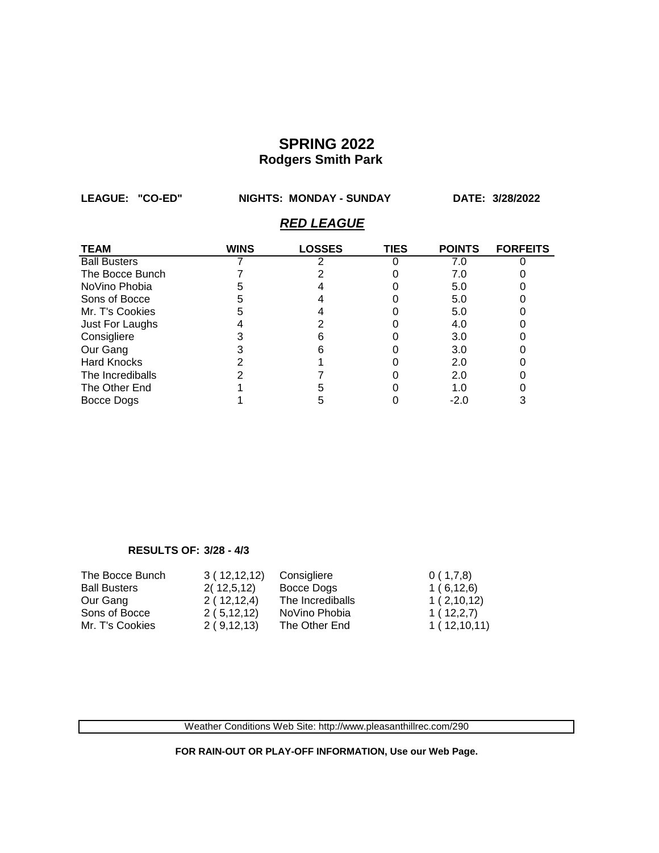**LEAGUE: "CO-ED" NIGHTS: MONDAY - SUNDAY DATE: 3/28/2022**

### *RED LEAGUE*

| <b>TEAM</b>         | WINS | <b>LOSSES</b> | <b>TIES</b> | <b>POINTS</b> | <b>FORFEITS</b> |
|---------------------|------|---------------|-------------|---------------|-----------------|
| <b>Ball Busters</b> |      |               |             | 7.0           |                 |
| The Bocce Bunch     |      |               |             | 7.0           |                 |
| NoVino Phobia       |      |               |             | 5.0           |                 |
| Sons of Bocce       |      |               |             | 5.0           |                 |
| Mr. T's Cookies     |      |               |             | 5.0           |                 |
| Just For Laughs     |      |               |             | 4.0           |                 |
| Consigliere         |      |               |             | 3.0           |                 |
| Our Gang            |      |               |             | 3.0           |                 |
| <b>Hard Knocks</b>  |      |               |             | 2.0           |                 |
| The Incrediballs    |      |               |             | 2.0           |                 |
| The Other End       |      |               |             | 1.0           |                 |
| Bocce Dogs          |      |               |             | $-2.0$        |                 |

#### **RESULTS OF: 3/28 - 4/3**

| The Bocce Bunch     | 3(12,12,12) | Consigliere      | 0(1,7,8)    |
|---------------------|-------------|------------------|-------------|
| <b>Ball Busters</b> | 2(12,5,12)  | Bocce Dogs       | 1(6,12,6)   |
| Our Gang            | 2(12,12,4)  | The Incrediballs | 1(2,10,12)  |
| Sons of Bocce       | 2(5,12,12)  | NoVino Phobia    | 1(12,2,7)   |
| Mr. T's Cookies     | 2(9,12,13)  | The Other End    | 1(12,10,11) |

Weather Conditions Web Site: http://www.pleasanthillrec.com/290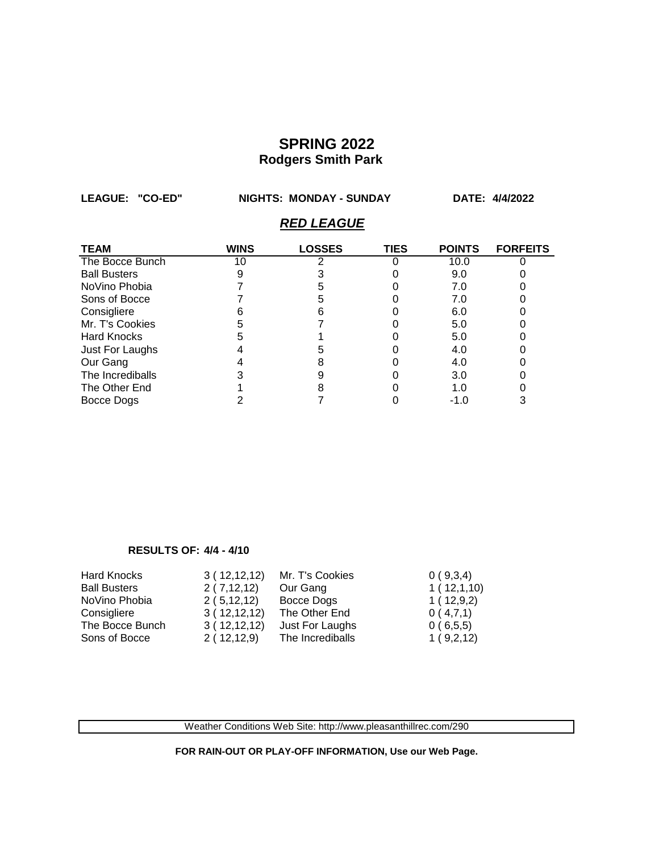**LEAGUE: "CO-ED" NIGHTS: MONDAY - SUNDAY DATE: 4/4/2022**

### *RED LEAGUE*

| <b>TEAM</b>         | <b>WINS</b> | <b>LOSSES</b> | <b>TIES</b> | <b>POINTS</b> | <b>FORFEITS</b> |
|---------------------|-------------|---------------|-------------|---------------|-----------------|
| The Bocce Bunch     | 10          |               |             | 10.0          |                 |
| <b>Ball Busters</b> |             |               |             | 9.0           |                 |
| NoVino Phobia       |             |               |             | 7.0           |                 |
| Sons of Bocce       |             |               |             | 7.0           |                 |
| Consigliere         |             |               |             | 6.0           |                 |
| Mr. T's Cookies     |             |               |             | 5.0           |                 |
| <b>Hard Knocks</b>  |             |               |             | 5.0           |                 |
| Just For Laughs     |             |               |             | 4.0           |                 |
| Our Gang            |             |               |             | 4.0           |                 |
| The Incrediballs    |             |               |             | 3.0           |                 |
| The Other End       |             |               |             | 1.0           |                 |
| Bocce Dogs          |             |               |             | $-1.0$        |                 |

#### **RESULTS OF: 4/4 - 4/10**

| <b>Hard Knocks</b>  | 3(12,12,12) | Mr. T's Cookies  | 0(9,3,4)   |
|---------------------|-------------|------------------|------------|
| <b>Ball Busters</b> | 2(7,12,12)  | Our Gang         | 1(12,1,10) |
| NoVino Phobia       | 2(5,12,12)  | Bocce Dogs       | 1(12,9,2)  |
| Consigliere         | 3(12,12,12) | The Other End    | 0(4,7,1)   |
| The Bocce Bunch     | 3(12,12,12) | Just For Laughs  | 0(6,5,5)   |
| Sons of Bocce       | 2(12,12,9)  | The Incrediballs | 1(9,2,12)  |

Weather Conditions Web Site: http://www.pleasanthillrec.com/290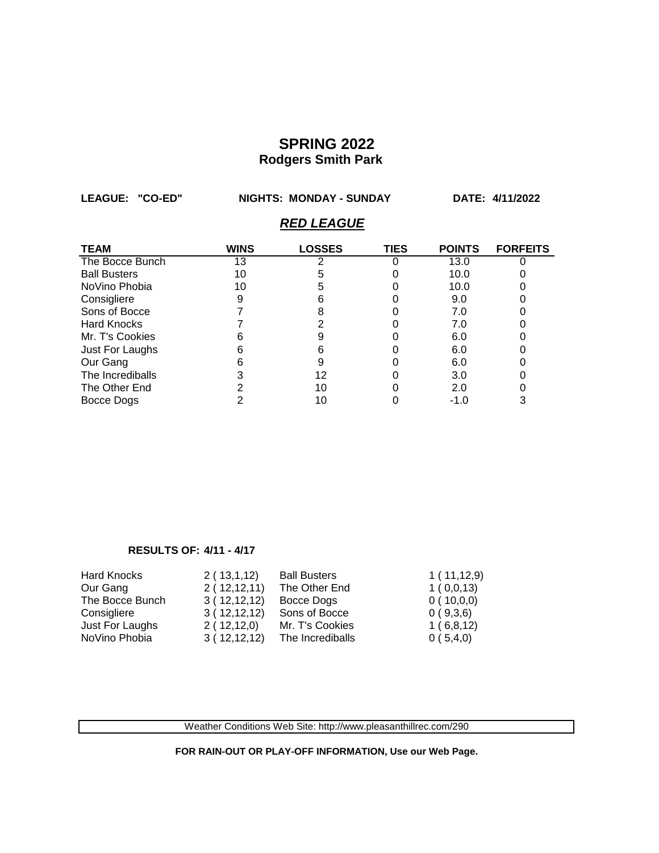**LEAGUE: "CO-ED" NIGHTS: MONDAY - SUNDAY DATE: 4/11/2022**

### *RED LEAGUE*

| <b>TEAM</b>         | <b>WINS</b> | <b>LOSSES</b> | <b>TIES</b> | <b>POINTS</b> | <b>FORFEITS</b> |
|---------------------|-------------|---------------|-------------|---------------|-----------------|
| The Bocce Bunch     | 13          |               |             | 13.0          |                 |
| <b>Ball Busters</b> | 10          |               |             | 10.0          |                 |
| NoVino Phobia       | 10          |               |             | 10.0          |                 |
| Consigliere         |             |               |             | 9.0           |                 |
| Sons of Bocce       |             |               |             | 7.0           |                 |
| <b>Hard Knocks</b>  |             |               |             | 7.0           |                 |
| Mr. T's Cookies     |             |               |             | 6.0           |                 |
| Just For Laughs     |             |               |             | 6.0           |                 |
| Our Gang            |             | 9             |             | 6.0           |                 |
| The Incrediballs    |             | 12            |             | 3.0           |                 |
| The Other End       |             | 10            |             | 2.0           |                 |
| Bocce Dogs          |             | 10            |             | $-1.0$        |                 |

#### **RESULTS OF: 4/11 - 4/17**

| <b>Hard Knocks</b> | 2(13,1,12)  | <b>Ball Busters</b> | 1(11,12,9) |
|--------------------|-------------|---------------------|------------|
| Our Gang           | 2(12,12,11) | The Other End       | 1(0,0,13)  |
| The Bocce Bunch    | 3(12,12,12) | Bocce Dogs          | 0(10,0,0)  |
| Consigliere        | 3(12,12,12) | Sons of Bocce       | 0(9,3,6)   |
| Just For Laughs    | 2(12,12,0)  | Mr. T's Cookies     | 1(6,8,12)  |
| NoVino Phobia      | 3(12,12,12) | The Incrediballs    | 0(5,4,0)   |

Weather Conditions Web Site: http://www.pleasanthillrec.com/290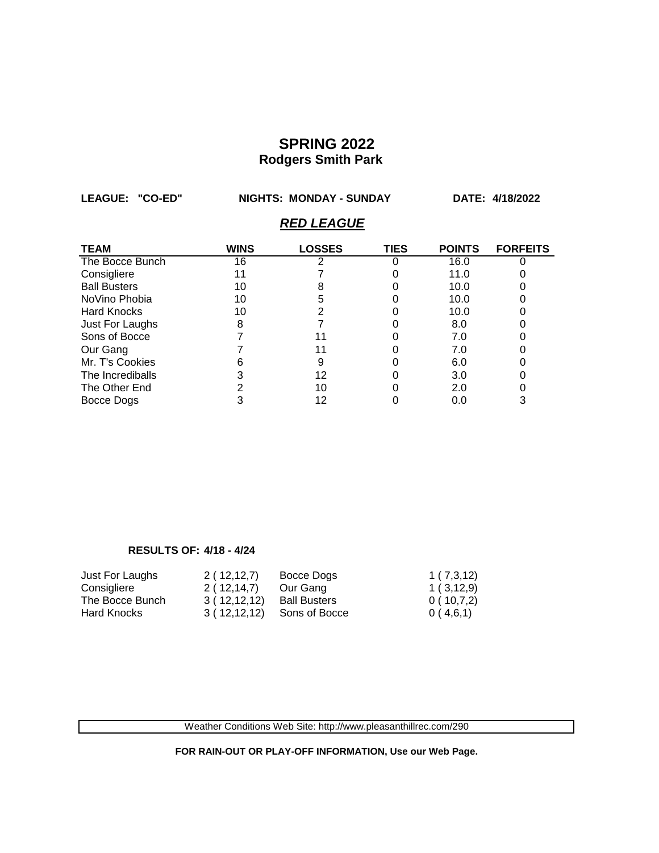**LEAGUE: "CO-ED" NIGHTS: MONDAY - SUNDAY DATE: 4/18/2022**

### *RED LEAGUE*

| <b>TEAM</b>         | <b>WINS</b> | <b>LOSSES</b> | <b>TIES</b> | <b>POINTS</b> | <b>FORFEITS</b> |
|---------------------|-------------|---------------|-------------|---------------|-----------------|
| The Bocce Bunch     | 16          |               |             | 16.0          |                 |
| Consigliere         | 11          |               |             | 11.0          |                 |
| <b>Ball Busters</b> | 10          |               |             | 10.0          |                 |
| NoVino Phobia       | 10          |               |             | 10.0          |                 |
| <b>Hard Knocks</b>  | 10          |               |             | 10.0          |                 |
| Just For Laughs     |             |               |             | 8.0           |                 |
| Sons of Bocce       |             |               |             | 7.0           |                 |
| Our Gang            |             |               |             | 7.0           |                 |
| Mr. T's Cookies     |             | 9             |             | 6.0           |                 |
| The Incrediballs    |             | 12            |             | 3.0           |                 |
| The Other End       |             | 10            |             | 2.0           |                 |
| Bocce Dogs          |             | 12            |             | 0.0           |                 |

#### **RESULTS OF: 4/18 - 4/24**

| Just For Laughs    | 2(12,12,7)  | Bocce Dogs          | 1(7,3,12) |
|--------------------|-------------|---------------------|-----------|
| Consigliere        | 2(12,14,7)  | Our Gang            | 1(3,12,9) |
| The Bocce Bunch    | 3(12,12,12) | <b>Ball Busters</b> | 0(10,7,2) |
| <b>Hard Knocks</b> | 3(12,12,12) | Sons of Bocce       | 0(4,6,1)  |

Weather Conditions Web Site: http://www.pleasanthillrec.com/290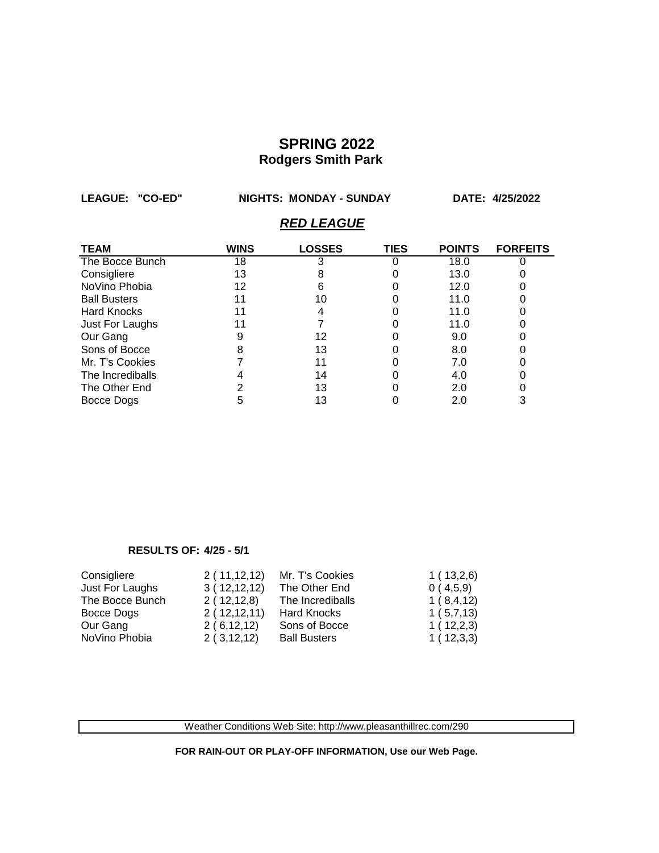**LEAGUE: "CO-ED" NIGHTS: MONDAY - SUNDAY DATE: 4/25/2022** *RED LEAGUE*

| <b>TEAM</b>         | <b>WINS</b> | <b>LOSSES</b> | TIES | <b>POINTS</b> | <b>FORFEITS</b> |
|---------------------|-------------|---------------|------|---------------|-----------------|
| The Bocce Bunch     | 18          |               |      | 18.0          |                 |
| Consigliere         | 13          |               |      | 13.0          |                 |
| NoVino Phobia       | 12          | n             |      | 12.0          |                 |
| <b>Ball Busters</b> | 11          | 10            |      | 11.0          |                 |
| <b>Hard Knocks</b>  |             |               |      | 11.0          |                 |
| Just For Laughs     | 11          |               |      | 11.0          |                 |
| Our Gang            |             | 12            |      | 9.0           |                 |
| Sons of Bocce       |             | 13            |      | 8.0           |                 |
| Mr. T's Cookies     |             | 11            |      | 7.0           |                 |
| The Incrediballs    |             | 14            |      | 4.0           |                 |
| The Other End       |             | 13            |      | 2.0           |                 |
| Bocce Dogs          |             | 13            |      | 2.0           |                 |

#### **RESULTS OF: 4/25 - 5/1**

| Consigliere     | 2(11,12,12) | Mr. T's Cookies     | 1(13,2,6) |
|-----------------|-------------|---------------------|-----------|
| Just For Laughs | 3(12,12,12) | The Other End       | 0(4,5,9)  |
| The Bocce Bunch | 2(12,12,8)  | The Incrediballs    | 1(8,4,12) |
| Bocce Dogs      | 2(12,12,11) | <b>Hard Knocks</b>  | 1(5,7,13) |
| Our Gang        | 2(6,12,12)  | Sons of Bocce       | 1(12,2,3) |
| NoVino Phobia   | 2(3,12,12)  | <b>Ball Busters</b> | 1(12,3,3) |

Weather Conditions Web Site: http://www.pleasanthillrec.com/290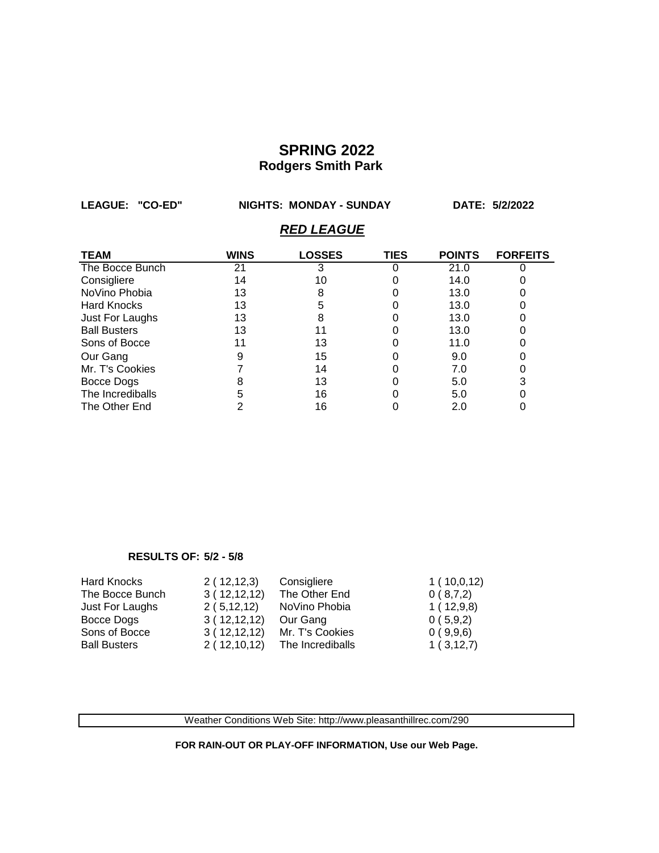**LEAGUE: "CO-ED" NIGHTS: MONDAY - SUNDAY DATE: 5/2/2022**

## *RED LEAGUE*

| <b>TEAM</b>         | WINS | <b>LOSSES</b> | TIES | <b>POINTS</b> | <b>FORFEITS</b> |
|---------------------|------|---------------|------|---------------|-----------------|
| The Bocce Bunch     | 21   |               |      | 21.0          |                 |
| Consigliere         | 14   | 10            |      | 14.0          |                 |
| NoVino Phobia       | 13   | 8             |      | 13.0          |                 |
| <b>Hard Knocks</b>  | 13   |               |      | 13.0          |                 |
| Just For Laughs     | 13   |               |      | 13.0          |                 |
| <b>Ball Busters</b> | 13   |               |      | 13.0          |                 |
| Sons of Bocce       | 11   | 13            |      | 11.0          |                 |
| Our Gang            |      | 15            |      | 9.0           |                 |
| Mr. T's Cookies     |      | 14            |      | 7.0           |                 |
| Bocce Dogs          |      | 13            |      | 5.0           |                 |
| The Incrediballs    |      | 16            |      | 5.0           |                 |
| The Other End       |      | 16            |      | 2.0           |                 |

#### **RESULTS OF: 5/2 - 5/8**

| Hard Knocks         | 2(12,12,3)  | Consigliere      | 1(10,0,12) |
|---------------------|-------------|------------------|------------|
| The Bocce Bunch     | 3(12,12,12) | The Other End    | 0(8,7,2)   |
| Just For Laughs     | 2(5,12,12)  | NoVino Phobia    | 1(12,9,8)  |
| Bocce Dogs          | 3(12,12,12) | Our Gang         | 0(5,9,2)   |
| Sons of Bocce       | 3(12,12,12) | Mr. T's Cookies  | 0(9,9,6)   |
| <b>Ball Busters</b> | 2(12,10,12) | The Incrediballs | 1(3,12,7)  |

Weather Conditions Web Site: http://www.pleasanthillrec.com/290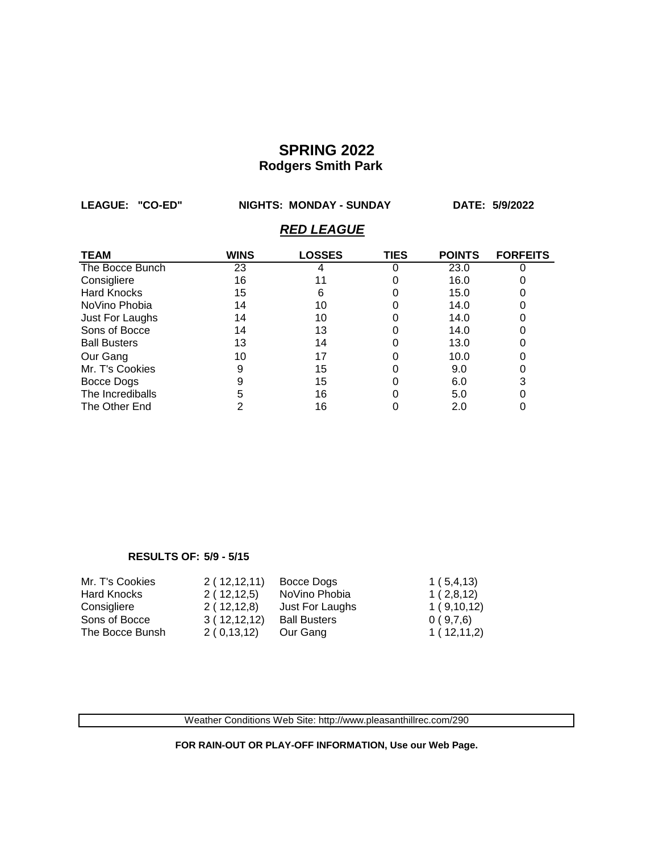**LEAGUE: "CO-ED" NIGHTS: MONDAY - SUNDAY DATE: 5/9/2022**

## *RED LEAGUE*

| <b>TEAM</b>         | WINS | <b>LOSSES</b> | TIES | <b>POINTS</b> | <b>FORFEITS</b> |
|---------------------|------|---------------|------|---------------|-----------------|
| The Bocce Bunch     | 23   |               |      | 23.0          |                 |
| Consigliere         | 16   |               |      | 16.0          |                 |
| <b>Hard Knocks</b>  | 15   | 6             |      | 15.0          |                 |
| NoVino Phobia       | 14   | 10            |      | 14.0          |                 |
| Just For Laughs     | 14   | 10            |      | 14.0          |                 |
| Sons of Bocce       | 14   | 13            |      | 14.0          |                 |
| <b>Ball Busters</b> | 13   | 14            |      | 13.0          |                 |
| Our Gang            | 10   | 17            |      | 10.0          |                 |
| Mr. T's Cookies     |      | 15            |      | 9.0           |                 |
| Bocce Dogs          |      | 15            |      | 6.0           |                 |
| The Incrediballs    |      | 16            |      | 5.0           |                 |
| The Other End       |      | 16            |      | 2.0           |                 |

#### **RESULTS OF: 5/9 - 5/15**

| Mr. T's Cookies | 2(12,12,11) | Bocce Dogs          | 1(5,4,13)  |
|-----------------|-------------|---------------------|------------|
| Hard Knocks     | 2(12,12,5)  | NoVino Phobia       | 1(2,8,12)  |
| Consigliere     | 2(12,12,8)  | Just For Laughs     | 1(9,10,12) |
| Sons of Bocce   | 3(12,12,12) | <b>Ball Busters</b> | 0(9,7,6)   |
| The Bocce Bunsh | 2(0,13,12)  | Our Gang            | 1(12,11,2) |

Weather Conditions Web Site: http://www.pleasanthillrec.com/290